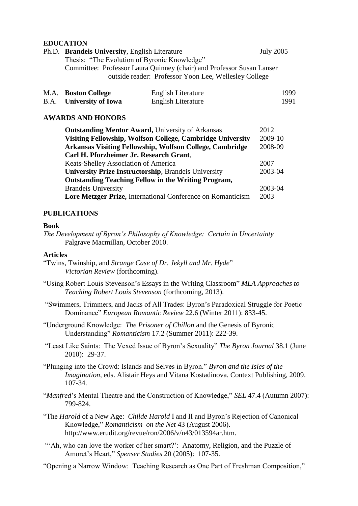## **EDUCATION**

| Ph.D. Brandeis University, English Literature                         | <b>July 2005</b> |  |  |
|-----------------------------------------------------------------------|------------------|--|--|
| Thesis: "The Evolution of Byronic Knowledge"                          |                  |  |  |
| Committee: Professor Laura Quinney (chair) and Professor Susan Lanser |                  |  |  |
| outside reader: Professor Yoon Lee, Wellesley College                 |                  |  |  |
|                                                                       |                  |  |  |

| M.A. Boston College            | English Literature | 1999 |
|--------------------------------|--------------------|------|
| <b>B.A.</b> University of Iowa | English Literature | 1991 |

# **AWARDS AND HONORS**

| <b>Outstanding Mentor Award, University of Arkansas</b>     | 2012    |  |  |  |
|-------------------------------------------------------------|---------|--|--|--|
| Visiting Fellowship, Wolfson College, Cambridge University  | 2009-10 |  |  |  |
| Arkansas Visiting Fellowship, Wolfson College, Cambridge    |         |  |  |  |
| Carl H. Pforzheimer Jr. Research Grant,                     |         |  |  |  |
| Keats-Shelley Association of America                        | 2007    |  |  |  |
| <b>University Prize Instructorship, Brandeis University</b> |         |  |  |  |
| <b>Outstanding Teaching Fellow in the Writing Program,</b>  |         |  |  |  |
| <b>Brandeis University</b>                                  | 2003-04 |  |  |  |
| Lore Metzger Prize, International Conference on Romanticism |         |  |  |  |

# **PUBLICATIONS**

#### **Book**

*The Development of Byron's Philosophy of Knowledge: Certain in Uncertainty* Palgrave Macmillan, October 2010.

## **Articles**

- "Twins, Twinship, and *Strange Case of Dr. Jekyll and Mr. Hyde*" *Victorian Review* (forthcoming).
- "Using Robert Louis Stevenson's Essays in the Writing Classroom" *MLA Approaches to Teaching Robert Louis Stevenson* (forthcoming, 2013).
- "Swimmers, Trimmers, and Jacks of All Trades: Byron's Paradoxical Struggle for Poetic Dominance" *European Romantic Review* 22.6 (Winter 2011): 833-45.
- "Underground Knowledge: *The Prisoner of Chillon* and the Genesis of Byronic Understanding" *Romanticism* 17.2 (Summer 2011): 222-39.
- "Least Like Saints: The Vexed Issue of Byron's Sexuality" *The Byron Journal* 38.1 (June 2010): 29-37.
- "Plunging into the Crowd: Islands and Selves in Byron." *Byron and the Isles of the Imagination*, eds. Alistair Heys and Vitana Kostadinova. Context Publishing, 2009. 107-34.
- "*Manfred*'s Mental Theatre and the Construction of Knowledge," *SEL* 47.4 (Autumn 2007): 799-824.
- "The *Harold* of a New Age: *Childe Harold* I and II and Byron's Rejection of Canonical Knowledge," *Romanticism on the Net* 43 (August 2006). http://www.erudit.org/revue/ron/2006/v/n43/013594ar.htm.
- ""Ah, who can love the worker of her smart?": Anatomy, Religion, and the Puzzle of Amoret's Heart," *Spenser Studies* 20 (2005): 107-35.
- "Opening a Narrow Window: Teaching Research as One Part of Freshman Composition,"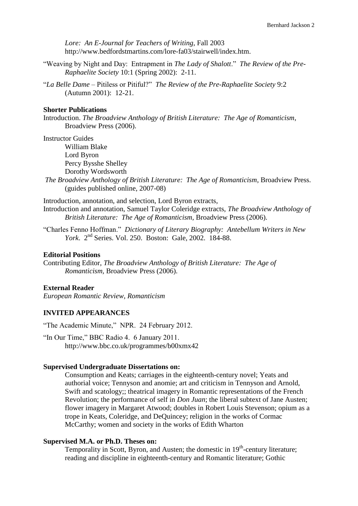*Lore: An E-Journal for Teachers of Writing*, Fall 2003 http://www.bedfordstmartins.com/lore-fa03/stairwell/index.htm.

- "Weaving by Night and Day: Entrapment in *The Lady of Shalott*." *The Review of the Pre-Raphaelite Society* 10:1 (Spring 2002): 2-11.
- "*La Belle Dame* Pitiless or Pitiful?" *The Review of the Pre-Raphaelite Society* 9:2 (Autumn 2001): 12-21.

#### **Shorter Publications**

Introduction. *The Broadview Anthology of British Literature: The Age of Romanticism*, Broadview Press (2006).

Instructor Guides

William Blake Lord Byron Percy Bysshe Shelley Dorothy Wordsworth

*The Broadview Anthology of British Literature: The Age of Romanticism*, Broadview Press. (guides published online, 2007-08)

Introduction, annotation, and selection, Lord Byron extracts, Introduction and annotation, Samuel Taylor Coleridge extracts, *The Broadview Anthology of British Literature: The Age of Romanticism*, Broadview Press (2006).

"Charles Fenno Hoffman." *Dictionary of Literary Biography: Antebellum Writers in New York*. 2nd Series. Vol. 250. Boston: Gale, 2002. 184-88.

#### **Editorial Positions**

Contributing Editor, *The Broadview Anthology of British Literature: The Age of Romanticism,* Broadview Press (2006).

### **External Reader**

*European Romantic Review*, *Romanticism*

### **INVITED APPEARANCES**

"The Academic Minute," NPR. 24 February 2012.

"In Our Time," BBC Radio 4. 6 January 2011. http://www.bbc.co.uk/programmes/b00xmx42

#### **Supervised Undergraduate Dissertations on:**

Consumption and Keats; carriages in the eighteenth-century novel; Yeats and authorial voice; Tennyson and anomie; art and criticism in Tennyson and Arnold, Swift and scatology;; theatrical imagery in Romantic representations of the French Revolution; the performance of self in *Don Juan*; the liberal subtext of Jane Austen; flower imagery in Margaret Atwood; doubles in Robert Louis Stevenson; opium as a trope in Keats, Coleridge, and DeQuincey; religion in the works of Cormac McCarthy; women and society in the works of Edith Wharton

#### **Supervised M.A. or Ph.D. Theses on:**

Temporality in Scott, Byron, and Austen; the domestic in  $19<sup>th</sup>$ -century literature; reading and discipline in eighteenth-century and Romantic literature; Gothic